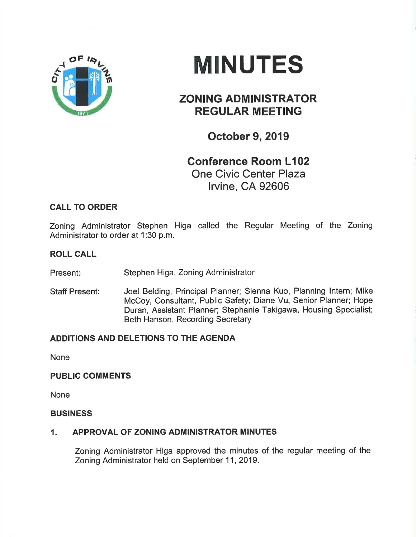

# **MINUTES**

# ZONING ADMINISTRATOR REGULAR MEETING

October 9, 2019

## Gonference Room L102 One Civic Center Plaza lrvine, CA 92606

## CALL TO ORDER

Zoning Administrator Stephen Higa called the Regular Meeting of the Zoning Administrator to order at 1:30 p.m.

#### ROLL CALL

Present: Stephen Higa, Zoning Administrator

Staff Present: Joel Belding, Principal Planner; Sienna Kuo, Planning lntern; Mike McCoy, Consultant, Public Safety; Diane Vu, Senior Planner; Hope Duran, Assistant Planner; Stephanie Takigawa, Housing Specialist; Beth Hanson, Recording Secretary

### ADDITIONS AND DELETIONS TO THE AGENDA

None

#### PUBLIC COMMENTS

None

#### **BUSINESS**

#### 1. APPROVAL OF ZONING ADMINISTRATOR MINUTES

Zoning Administrator Higa approved the minutes of the regular meeting of the Zoning Administrator held on September 11, 2019.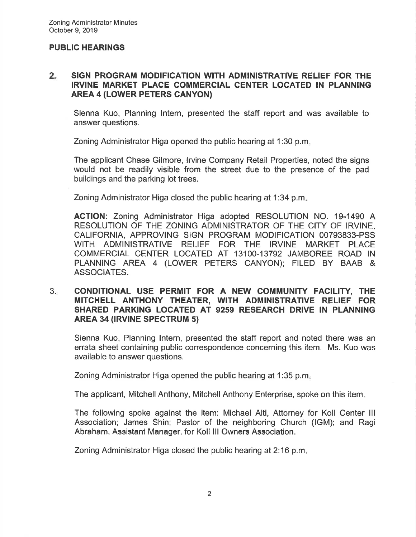#### PUBLIC HEARINGS

#### 2 SIGN PROGRAM MODIFICATION WITH ADMINISTRATIVE RELIEF FOR THE IRVINE MARKET PLACE GOMMERGIAL GENTER LOCATED IN PLANNING AREA 4 (LOWER PETERS CANYON)

Slenna Kuo, Planning lntern, presented the staff report and was available to answer questions.

Zoning Administrator Higa opened the public hearing at 1:30 p.m

The applicant Chase Gilmore, lrvine Company Retail Properties, noted the signs would not be readily visible from the street due to the presence of the pad buildings and the parking lot trees.

Zoning Administrator Higa closed the public hearing at 1:34 p.m

AGTION: Zoning Administrator Higa adopted RESOLUTION NO. 19-1490 A RESOLUTION OF THE ZONING ADMINISTRATOR OF THE CITY OF IRVINE, CALIFORNIA, APPROVING SIGN PROGRAM MODIFICATION OO793833.PSS WITH ADMINISTRATIVE RELIEF FOR THE IRVINE MARKET PLACE COMMERCIAL CENTER LOCATED AT 13100-13792 JAMBOREE ROAD IN PLANNING AREA 4 (LOWER PETERS CANYON); FILED BY BAAB & ASSOCIATES.

#### CONDITIONAL USE PERMIT FOR A NEW COMMUNITY FACILITY, THE MITCHELL ANTHONY THEATER, WITH ADMINISTRATIVE RELIEF FOR SHARED PARKING LOCATED AT 9259 RESEARCH DRIVE IN PLANNING AREA 34 (IRVINE SPECTRUM 5)  $3<sub>1</sub>$

Sienna Kuo, Planning lntern, presented the staff report and noted there was an errata sheet containing public correspondence concerning this item. Ms. Kuo was available to answer questions.

Zoning Administrator Higa opened the public hearing at 1:35 p.m

The applicant, Mitchell Anthony, Mitchell Anthony Enterprise, spoke on this item.

The following spoke against the item: Michael Alti, Attorney for Koll Center lll Association; James Shin; Pastor of the neighboring Church (lGM); and Ragi Abraham, Assistant Manager, for Koll lll Owners Association.

Zoning Administrator Higa closed the public hearing at 2:16 p.m.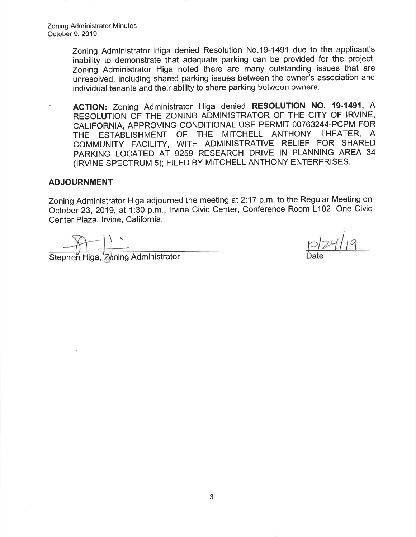Zoning Administrator Higa denied Resolution No.19-1491 due to the applicant's inability to demonstrate that adequate parking can be provided for the project. Zoning Administrator Higa noted there are many outstanding issues that are unresolved, including shared parking issues between the owner's association and individual tenants and their ability to share parking between owners.

ACTION: Zoning Administrator Higa denied RESOLUTION NO. 19-1491, A ٠ RESOLUTION OF THE ZONING ADMINISTRATOR OF THE CITY OF IRVINE, CALIFORNIA, APPROVING CONDITIONAL USE PERMIT 00763244-PCPM FOR THE ESTABLISHMENT OF THE MITCHELL ANTHONY THEATER, <sup>A</sup> COMMUNITY FACILITY, WITH ADMINISTRATIVE RELIEF FOR SHARED PARKING LOCATED AT 9259 RESEARCH DRIVE IN PLANNING AREA 34 (IRVINE SPECTRUM 5); FILED BY MITCHELL ANTHONY ENTERPRISES.

#### ADJOURNMENT

Zoning Administrator Higa adjourned the meeting at 2:17 p.m. to the Regular Meeting on October 29, 2019, at 1:30 p.m., lrvine Civic Center, Conference Room L102, One Civic Center Plaza, Irvine, California.

Stephen Higa, Zoning Administrator